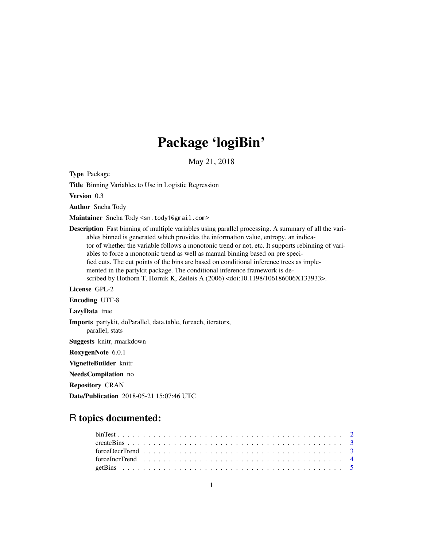## Package 'logiBin'

May 21, 2018

Type Package

Title Binning Variables to Use in Logistic Regression

Version 0.3

Author Sneha Tody

Maintainer Sneha Tody <sn.tody1@gmail.com>

Description Fast binning of multiple variables using parallel processing. A summary of all the variables binned is generated which provides the information value, entropy, an indicator of whether the variable follows a monotonic trend or not, etc. It supports rebinning of variables to force a monotonic trend as well as manual binning based on pre specified cuts. The cut points of the bins are based on conditional inference trees as implemented in the partykit package. The conditional inference framework is described by Hothorn T, Hornik K, Zeileis A (2006) <doi:10.1198/106186006X133933>.

License GPL-2

Encoding UTF-8

LazyData true

Imports partykit, doParallel, data.table, foreach, iterators,

parallel, stats

Suggests knitr, rmarkdown

RoxygenNote 6.0.1

VignetteBuilder knitr

NeedsCompilation no

Repository CRAN

Date/Publication 2018-05-21 15:07:46 UTC

## R topics documented: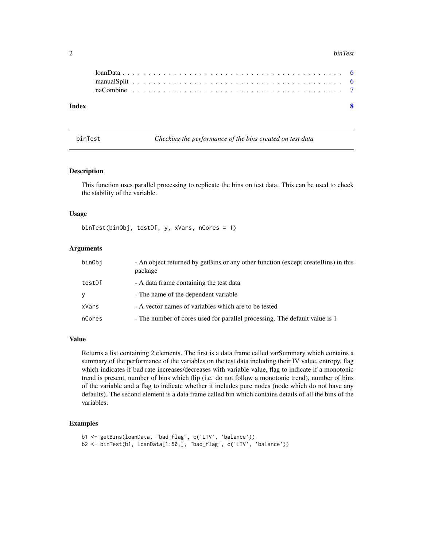#### <span id="page-1-0"></span>2 binTest binTest binTest binTest binTest binTest binTest binTest binTest binTest binTest binTest binTest binTest binTest binTest binTest binTest binTest binTest binTest binTest binTest binTest binTest binTest binTest binT

| Index |  |  |  |  |  |  |  |  |  |  |  |  |  |  |  |  |  |  |  |  |  |  |
|-------|--|--|--|--|--|--|--|--|--|--|--|--|--|--|--|--|--|--|--|--|--|--|
|       |  |  |  |  |  |  |  |  |  |  |  |  |  |  |  |  |  |  |  |  |  |  |
|       |  |  |  |  |  |  |  |  |  |  |  |  |  |  |  |  |  |  |  |  |  |  |
|       |  |  |  |  |  |  |  |  |  |  |  |  |  |  |  |  |  |  |  |  |  |  |

binTest *Checking the performance of the bins created on test data*

#### Description

This function uses parallel processing to replicate the bins on test data. This can be used to check the stability of the variable.

#### Usage

binTest(binObj, testDf, y, xVars, nCores = 1)

#### Arguments

| binObi | - An object returned by getBins or any other function (except createBins) in this<br>package |
|--------|----------------------------------------------------------------------------------------------|
| testDf | - A data frame containing the test data                                                      |
| ٧      | - The name of the dependent variable                                                         |
| xVars  | - A vector names of variables which are to be tested                                         |
| nCores | - The number of cores used for parallel processing. The default value is 1                   |

#### Value

Returns a list containing 2 elements. The first is a data frame called varSummary which contains a summary of the performance of the variables on the test data including their IV value, entropy, flag which indicates if bad rate increases/decreases with variable value, flag to indicate if a monotonic trend is present, number of bins which flip (i.e. do not follow a monotonic trend), number of bins of the variable and a flag to indicate whether it includes pure nodes (node which do not have any defaults). The second element is a data frame called bin which contains details of all the bins of the variables.

```
b1 <- getBins(loanData, "bad_flag", c('LTV', 'balance'))
b2 <- binTest(b1, loanData[1:50,], "bad_flag", c('LTV', 'balance'))
```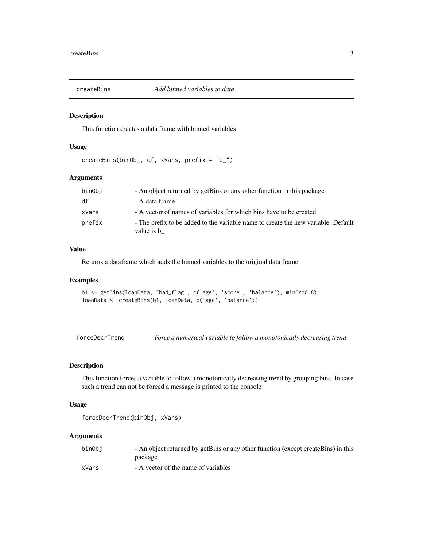<span id="page-2-0"></span>

#### Description

This function creates a data frame with binned variables

#### Usage

```
createBins(binObj, df, xVars, prefix = "b_")
```
#### Arguments

| binObj | - An object returned by getBins or any other function in this package                           |
|--------|-------------------------------------------------------------------------------------------------|
| df     | - A data frame                                                                                  |
| xVars  | - A vector of names of variables for which bins have to be created                              |
| prefix | - The prefix to be added to the variable name to create the new variable. Default<br>value is b |

#### Value

Returns a dataframe which adds the binned variables to the original data frame

#### Examples

```
b1 <- getBins(loanData, "bad_flag", c('age', 'score', 'balance'), minCr=0.8)
loanData <- createBins(b1, loanData, c('age', 'balance'))
```
forceDecrTrend *Force a numerical variable to follow a monotonically decreasing trend*

#### Description

This function forces a variable to follow a monotonically decreasing trend by grouping bins. In case such a trend can not be forced a message is printed to the console

#### Usage

```
forceDecrTrend(binObj, xVars)
```
#### Arguments

| binObj | - An object returned by getBins or any other function (except createBins) in this |
|--------|-----------------------------------------------------------------------------------|
|        | package                                                                           |
| xVars  | - A vector of the name of variables                                               |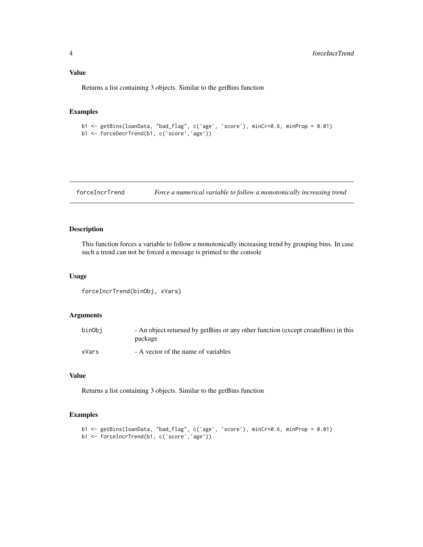#### <span id="page-3-0"></span>Value

Returns a list containing 3 objects. Similar to the getBins function

#### Examples

```
b1 <- getBins(loanData, "bad_flag", c('age', 'score'), minCr=0.6, minProp = 0.01)
b1 <- forceDecrTrend(b1, c('score','age'))
```
forceIncrTrend *Force a numerical variable to follow a monotonically increasing trend*

#### Description

This function forces a variable to follow a monotonically increasing trend by grouping bins. In case such a trend can not be forced a message is printed to the console

#### Usage

```
forceIncrTrend(binObj, xVars)
```
#### Arguments

| binObj | - An object returned by getBins or any other function (except createBins) in this<br>package |
|--------|----------------------------------------------------------------------------------------------|
| xVars  | - A vector of the name of variables                                                          |

#### Value

Returns a list containing 3 objects. Similar to the getBins function

```
b1 <- getBins(loanData, "bad_flag", c('age', 'score'), minCr=0.6, minProp = 0.01)
b1 <- forceIncrTrend(b1, c('score','age'))
```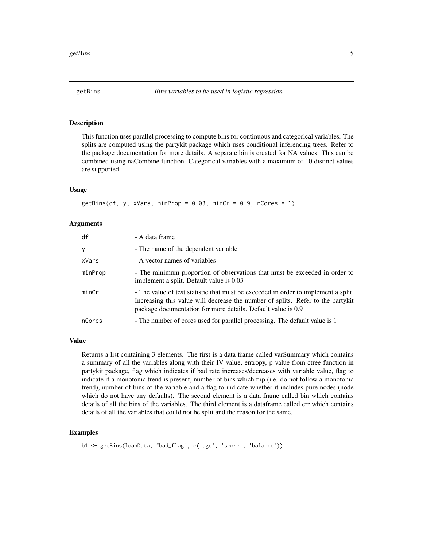<span id="page-4-0"></span>

#### Description

This function uses parallel processing to compute bins for continuous and categorical variables. The splits are computed using the partykit package which uses conditional inferencing trees. Refer to the package documentation for more details. A separate bin is created for NA values. This can be combined using naCombine function. Categorical variables with a maximum of 10 distinct values are supported.

#### Usage

```
getBins(df, y, xVars, minProp = 0.03, minCr = 0.9, nCores = 1)
```
#### Arguments

| df      | - A data frame                                                                                                                                                                                                                        |
|---------|---------------------------------------------------------------------------------------------------------------------------------------------------------------------------------------------------------------------------------------|
| У       | - The name of the dependent variable                                                                                                                                                                                                  |
| xVars   | - A vector names of variables                                                                                                                                                                                                         |
| minProp | - The minimum proportion of observations that must be exceeded in order to<br>implement a split. Default value is 0.03                                                                                                                |
| minCr   | - The value of test statistic that must be exceeded in order to implement a split.<br>Increasing this value will decrease the number of splits. Refer to the partykit<br>package documentation for more details. Default value is 0.9 |
| nCores  | - The number of cores used for parallel processing. The default value is 1                                                                                                                                                            |

#### Value

Returns a list containing 3 elements. The first is a data frame called varSummary which contains a summary of all the variables along with their IV value, entropy, p value from ctree function in partykit package, flag which indicates if bad rate increases/decreases with variable value, flag to indicate if a monotonic trend is present, number of bins which flip (i.e. do not follow a monotonic trend), number of bins of the variable and a flag to indicate whether it includes pure nodes (node which do not have any defaults). The second element is a data frame called bin which contains details of all the bins of the variables. The third element is a dataframe called err which contains details of all the variables that could not be split and the reason for the same.

```
b1 <- getBins(loanData, "bad_flag", c('age', 'score', 'balance'))
```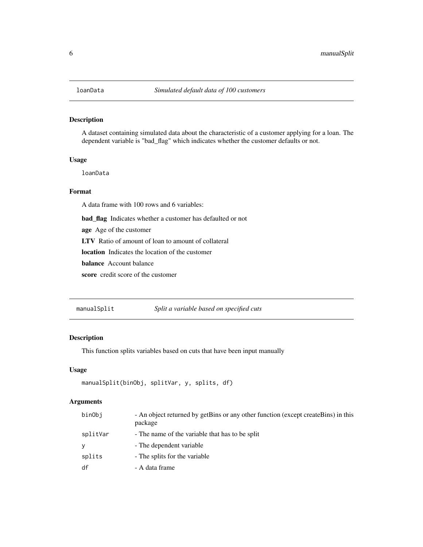#### <span id="page-5-0"></span>Description

A dataset containing simulated data about the characteristic of a customer applying for a loan. The dependent variable is "bad\_flag" which indicates whether the customer defaults or not.

#### Usage

loanData

#### Format

A data frame with 100 rows and 6 variables:

bad\_flag Indicates whether a customer has defaulted or not

age Age of the customer

LTV Ratio of amount of loan to amount of collateral

location Indicates the location of the customer

balance Account balance

score credit score of the customer

manualSplit *Split a variable based on specified cuts*

#### Description

This function splits variables based on cuts that have been input manually

#### Usage

```
manualSplit(binObj, splitVar, y, splits, df)
```
#### Arguments

| binObj   | - An object returned by getBins or any other function (except createBins) in this<br>package |
|----------|----------------------------------------------------------------------------------------------|
| splitVar | - The name of the variable that has to be split                                              |
| y        | - The dependent variable                                                                     |
| splits   | - The splits for the variable                                                                |
| df       | - A data frame                                                                               |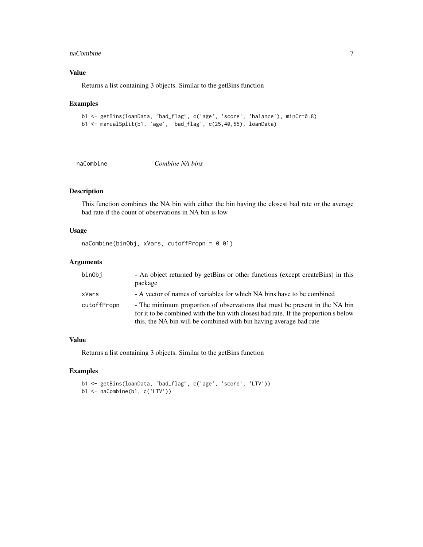#### <span id="page-6-0"></span>naCombine 2008 and 2008 and 2008 and 2008 and 2008 and 2008 and 2008 and 2008 and 2008 and 2008 and 2008 and 2008 and 2008 and 2008 and 2008 and 2008 and 2008 and 2008 and 2008 and 2008 and 2008 and 2008 and 2008 and 2008

#### Value

Returns a list containing 3 objects. Similar to the getBins function

#### Examples

```
b1 <- getBins(loanData, "bad_flag", c('age', 'score', 'balance'), minCr=0.8)
b1 <- manualSplit(b1, 'age', 'bad_flag', c(25,40,55), loanData)
```
naCombine *Combine NA bins*

### Description

This function combines the NA bin with either the bin having the closest bad rate or the average bad rate if the count of observations in NA bin is low

#### Usage

```
naCombine(binObj, xVars, cutoffPropn = 0.01)
```
#### Arguments

| binObi      | - An object returned by getBins or other functions (except createBins) in this<br>package                                                                                                                                                |
|-------------|------------------------------------------------------------------------------------------------------------------------------------------------------------------------------------------------------------------------------------------|
| xVars       | - A vector of names of variables for which NA bins have to be combined                                                                                                                                                                   |
| cutoffPropn | - The minimum proportion of observations that must be present in the NA bin<br>for it to be combined with the bin with closest bad rate. If the proportion s below<br>this, the NA bin will be combined with bin having average bad rate |

#### Value

Returns a list containing 3 objects. Similar to the getBins function

```
b1 <- getBins(loanData, "bad_flag", c('age', 'score', 'LTV'))
b1 <- naCombine(b1, c('LTV'))
```